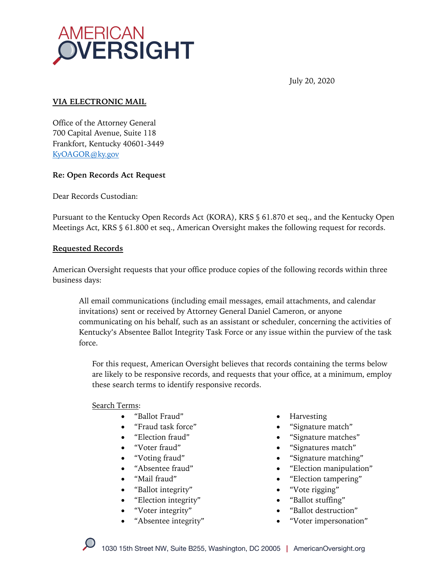

July 20, 2020

### **VIA ELECTRONIC MAIL**

Office of the Attorney General 700 Capital Avenue, Suite 118 Frankfort, Kentucky 40601-3449 KyOAGOR@ky.gov

#### **Re: Open Records Act Request**

Dear Records Custodian:

Pursuant to the Kentucky Open Records Act (KORA), KRS § 61.870 et seq., and the Kentucky Open Meetings Act, KRS § 61.800 et seq., American Oversight makes the following request for records.

#### **Requested Records**

American Oversight requests that your office produce copies of the following records within three business days:

All email communications (including email messages, email attachments, and calendar invitations) sent or received by Attorney General Daniel Cameron, or anyone communicating on his behalf, such as an assistant or scheduler, concerning the activities of Kentucky's Absentee Ballot Integrity Task Force or any issue within the purview of the task force.

For this request, American Oversight believes that records containing the terms below are likely to be responsive records, and requests that your office, at a minimum, employ these search terms to identify responsive records.

#### Search Terms:

- "Ballot Fraud"
- "Fraud task force"
- "Election fraud"
- "Voter fraud"
- "Voting fraud"
- "Absentee fraud"
- "Mail fraud"
- "Ballot integrity"
- "Election integrity"
- "Voter integrity"
- "Absentee integrity"
- Harvesting
- "Signature match"
- "Signature matches"
- "Signatures match"
- "Signature matching"
- "Election manipulation"
- "Election tampering"
- "Vote rigging"
- "Ballot stuffing"
- "Ballot destruction"
- "Voter impersonation"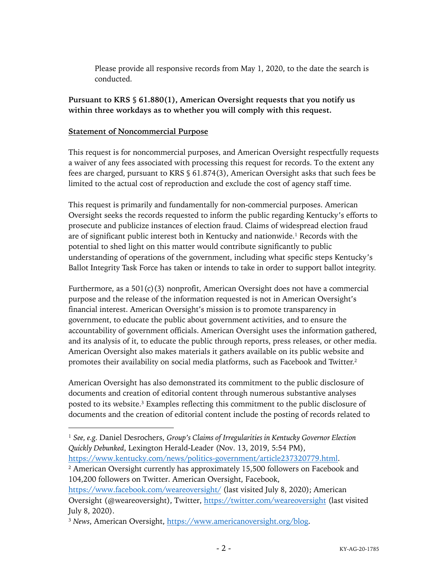Please provide all responsive records from May 1, 2020, to the date the search is conducted.

## **Pursuant to KRS § 61.880(1), American Oversight requests that you notify us within three workdays as to whether you will comply with this request.**

### **Statement of Noncommercial Purpose**

This request is for noncommercial purposes, and American Oversight respectfully requests a waiver of any fees associated with processing this request for records. To the extent any fees are charged, pursuant to KRS § 61.874(3), American Oversight asks that such fees be limited to the actual cost of reproduction and exclude the cost of agency staff time.

This request is primarily and fundamentally for non-commercial purposes. American Oversight seeks the records requested to inform the public regarding Kentucky's efforts to prosecute and publicize instances of election fraud. Claims of widespread election fraud are of significant public interest both in Kentucky and nationwide.1 Records with the potential to shed light on this matter would contribute significantly to public understanding of operations of the government, including what specific steps Kentucky's Ballot Integrity Task Force has taken or intends to take in order to support ballot integrity.

Furthermore, as a  $501(c)(3)$  nonprofit, American Oversight does not have a commercial purpose and the release of the information requested is not in American Oversight's financial interest. American Oversight's mission is to promote transparency in government, to educate the public about government activities, and to ensure the accountability of government officials. American Oversight uses the information gathered, and its analysis of it, to educate the public through reports, press releases, or other media. American Oversight also makes materials it gathers available on its public website and promotes their availability on social media platforms, such as Facebook and Twitter.2

American Oversight has also demonstrated its commitment to the public disclosure of documents and creation of editorial content through numerous substantive analyses posted to its website.3 Examples reflecting this commitment to the public disclosure of documents and the creation of editorial content include the posting of records related to

https://www.kentucky.com/news/politics-government/article237320779.html.

<sup>2</sup> American Oversight currently has approximately 15,500 followers on Facebook and 104,200 followers on Twitter. American Oversight, Facebook,

<sup>1</sup> *See, e.g.* Daniel Desrochers, *Group's Claims of Irregularities in Kentucky Governor Election Quickly Debunked*, Lexington Herald-Leader (Nov. 13, 2019, 5:54 PM),

https://www.facebook.com/weareoversight/ (last visited July 8, 2020); American Oversight (@weareoversight), Twitter, https://twitter.com/weareoversight (last visited July 8, 2020).

<sup>3</sup> *News*, American Oversight, https://www.americanoversight.org/blog.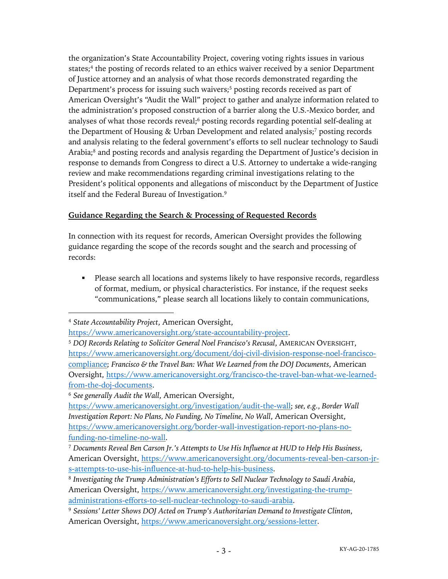the organization's State Accountability Project, covering voting rights issues in various states;<sup>4</sup> the posting of records related to an ethics waiver received by a senior Department of Justice attorney and an analysis of what those records demonstrated regarding the Department's process for issuing such waivers;<sup>5</sup> posting records received as part of American Oversight's "Audit the Wall" project to gather and analyze information related to the administration's proposed construction of a barrier along the U.S.-Mexico border, and analyses of what those records reveal;<sup>6</sup> posting records regarding potential self-dealing at the Department of Housing & Urban Development and related analysis;7 posting records and analysis relating to the federal government's efforts to sell nuclear technology to Saudi Arabia;<sup>8</sup> and posting records and analysis regarding the Department of Justice's decision in response to demands from Congress to direct a U.S. Attorney to undertake a wide-ranging review and make recommendations regarding criminal investigations relating to the President's political opponents and allegations of misconduct by the Department of Justice itself and the Federal Bureau of Investigation.9

# **Guidance Regarding the Search & Processing of Requested Records**

In connection with its request for records, American Oversight provides the following guidance regarding the scope of the records sought and the search and processing of records:

• Please search all locations and systems likely to have responsive records, regardless of format, medium, or physical characteristics. For instance, if the request seeks "communications," please search all locations likely to contain communications,

<sup>6</sup> *See generally Audit the Wall*, American Oversight,

<sup>4</sup> *State Accountability Project*, American Oversight,

https://www.americanoversight.org/state-accountability-project.

<sup>5</sup> *DOJ Records Relating to Solicitor General Noel Francisco's Recusal*, AMERICAN OVERSIGHT, https://www.americanoversight.org/document/doj-civil-division-response-noel-franciscocompliance; *Francisco & the Travel Ban: What We Learned from the DOJ Documents*, American Oversight, https://www.americanoversight.org/francisco-the-travel-ban-what-we-learnedfrom-the-doj-documents.

https://www.americanoversight.org/investigation/audit-the-wall; *see, e.g.*, *Border Wall Investigation Report: No Plans, No Funding, No Timeline, No Wall*, American Oversight, https://www.americanoversight.org/border-wall-investigation-report-no-plans-nofunding-no-timeline-no-wall.

<sup>7</sup> *Documents Reveal Ben Carson Jr.'s Attempts to Use His Influence at HUD to Help His Business*, American Oversight, https://www.americanoversight.org/documents-reveal-ben-carson-jrs-attempts-to-use-his-influence-at-hud-to-help-his-business.

<sup>8</sup> *Investigating the Trump Administration's Efforts to Sell Nuclear Technology to Saudi Arabia*, American Oversight, https://www.americanoversight.org/investigating-the-trumpadministrations-efforts-to-sell-nuclear-technology-to-saudi-arabia.

<sup>9</sup> *Sessions' Letter Shows DOJ Acted on Trump's Authoritarian Demand to Investigate Clinton*, American Oversight, https://www.americanoversight.org/sessions-letter.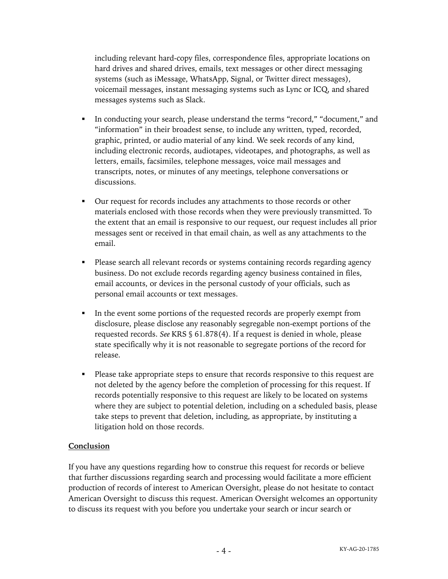including relevant hard-copy files, correspondence files, appropriate locations on hard drives and shared drives, emails, text messages or other direct messaging systems (such as iMessage, WhatsApp, Signal, or Twitter direct messages), voicemail messages, instant messaging systems such as Lync or ICQ, and shared messages systems such as Slack.

- In conducting your search, please understand the terms "record," "document," and "information" in their broadest sense, to include any written, typed, recorded, graphic, printed, or audio material of any kind. We seek records of any kind, including electronic records, audiotapes, videotapes, and photographs, as well as letters, emails, facsimiles, telephone messages, voice mail messages and transcripts, notes, or minutes of any meetings, telephone conversations or discussions.
- Our request for records includes any attachments to those records or other materials enclosed with those records when they were previously transmitted. To the extent that an email is responsive to our request, our request includes all prior messages sent or received in that email chain, as well as any attachments to the email.
- Please search all relevant records or systems containing records regarding agency business. Do not exclude records regarding agency business contained in files, email accounts, or devices in the personal custody of your officials, such as personal email accounts or text messages.
- In the event some portions of the requested records are properly exempt from disclosure, please disclose any reasonably segregable non-exempt portions of the requested records. *See* KRS § 61.878(4). If a request is denied in whole, please state specifically why it is not reasonable to segregate portions of the record for release.
- Please take appropriate steps to ensure that records responsive to this request are not deleted by the agency before the completion of processing for this request. If records potentially responsive to this request are likely to be located on systems where they are subject to potential deletion, including on a scheduled basis, please take steps to prevent that deletion, including, as appropriate, by instituting a litigation hold on those records.

## **Conclusion**

If you have any questions regarding how to construe this request for records or believe that further discussions regarding search and processing would facilitate a more efficient production of records of interest to American Oversight, please do not hesitate to contact American Oversight to discuss this request. American Oversight welcomes an opportunity to discuss its request with you before you undertake your search or incur search or